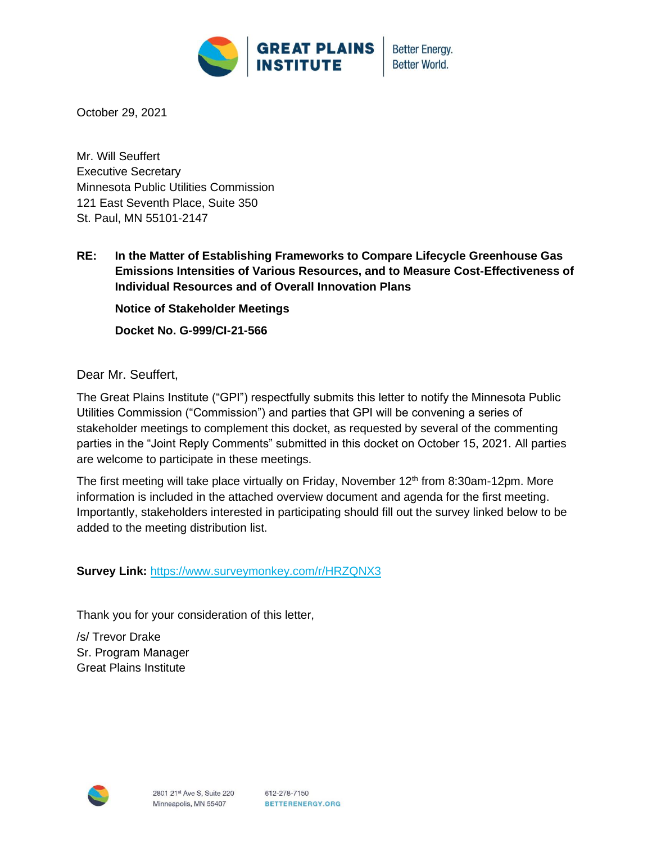

**Better Energy. Better World.** 

October 29, 2021

Mr. Will Seuffert Executive Secretary Minnesota Public Utilities Commission 121 East Seventh Place, Suite 350 St. Paul, MN 55101-2147

**RE: In the Matter of Establishing Frameworks to Compare Lifecycle Greenhouse Gas Emissions Intensities of Various Resources, and to Measure Cost-Effectiveness of Individual Resources and of Overall Innovation Plans**

**Notice of Stakeholder Meetings**

**Docket No. G-999/CI-21-566**

Dear Mr. Seuffert,

The Great Plains Institute ("GPI") respectfully submits this letter to notify the Minnesota Public Utilities Commission ("Commission") and parties that GPI will be convening a series of stakeholder meetings to complement this docket, as requested by several of the commenting parties in the "Joint Reply Comments" submitted in this docket on October 15, 2021. All parties are welcome to participate in these meetings.

The first meeting will take place virtually on Friday, November  $12<sup>th</sup>$  from 8:30am-12pm. More information is included in the attached overview document and agenda for the first meeting. Importantly, stakeholders interested in participating should fill out the survey linked below to be added to the meeting distribution list.

**Survey Link:** <https://www.surveymonkey.com/r/HRZQNX3>

Thank you for your consideration of this letter,

/s/ Trevor Drake Sr. Program Manager Great Plains Institute

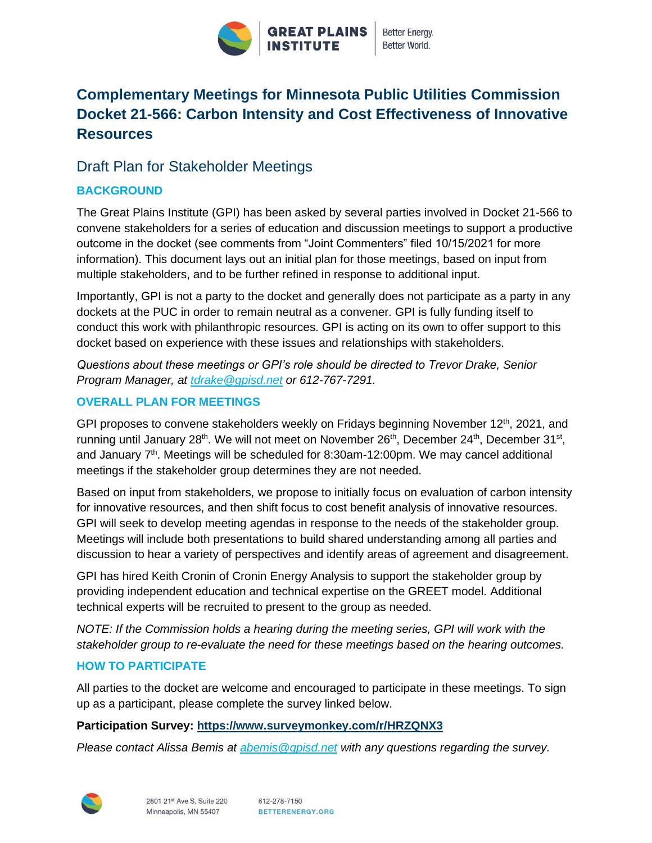

# **Complementary Meetings for Minnesota Public Utilities Commission Docket 21-566: Carbon Intensity and Cost Effectiveness of Innovative Resources**

# Draft Plan for Stakeholder Meetings

# **BACKGROUND**

The Great Plains Institute (GPI) has been asked by several parties involved in Docket 21-566 to convene stakeholders for a series of education and discussion meetings to support a productive outcome in the docket (see comments from "Joint Commenters" filed 10/15/2021 for more information). This document lays out an initial plan for those meetings, based on input from multiple stakeholders, and to be further refined in response to additional input.

Importantly, GPI is not a party to the docket and generally does not participate as a party in any dockets at the PUC in order to remain neutral as a convener. GPI is fully funding itself to conduct this work with philanthropic resources. GPI is acting on its own to offer support to this docket based on experience with these issues and relationships with stakeholders.

*Questions about these meetings or GPI's role should be directed to Trevor Drake, Senior Program Manager, at [tdrake@gpisd.net](mailto:tdrake@gpisd.net) or 612-767-7291.*

### **OVERALL PLAN FOR MEETINGS**

GPI proposes to convene stakeholders weekly on Fridays beginning November  $12<sup>th</sup>$ , 2021, and running until January 28<sup>th</sup>. We will not meet on November 26<sup>th</sup>, December 24<sup>th</sup>, December 31<sup>st</sup>, and January  $7<sup>th</sup>$ . Meetings will be scheduled for 8:30am-12:00pm. We may cancel additional meetings if the stakeholder group determines they are not needed.

Based on input from stakeholders, we propose to initially focus on evaluation of carbon intensity for innovative resources, and then shift focus to cost benefit analysis of innovative resources. GPI will seek to develop meeting agendas in response to the needs of the stakeholder group. Meetings will include both presentations to build shared understanding among all parties and discussion to hear a variety of perspectives and identify areas of agreement and disagreement.

GPI has hired Keith Cronin of Cronin Energy Analysis to support the stakeholder group by providing independent education and technical expertise on the GREET model. Additional technical experts will be recruited to present to the group as needed.

*NOTE: If the Commission holds a hearing during the meeting series, GPI will work with the stakeholder group to re-evaluate the need for these meetings based on the hearing outcomes.*

## **HOW TO PARTICIPATE**

All parties to the docket are welcome and encouraged to participate in these meetings. To sign up as a participant, please complete the survey linked below.

#### **Participation Survey:<https://www.surveymonkey.com/r/HRZQNX3>**

*Please contact Alissa Bemis at [abemis@gpisd.net](mailto:abemis@gpisd.net) with any questions regarding the survey.*

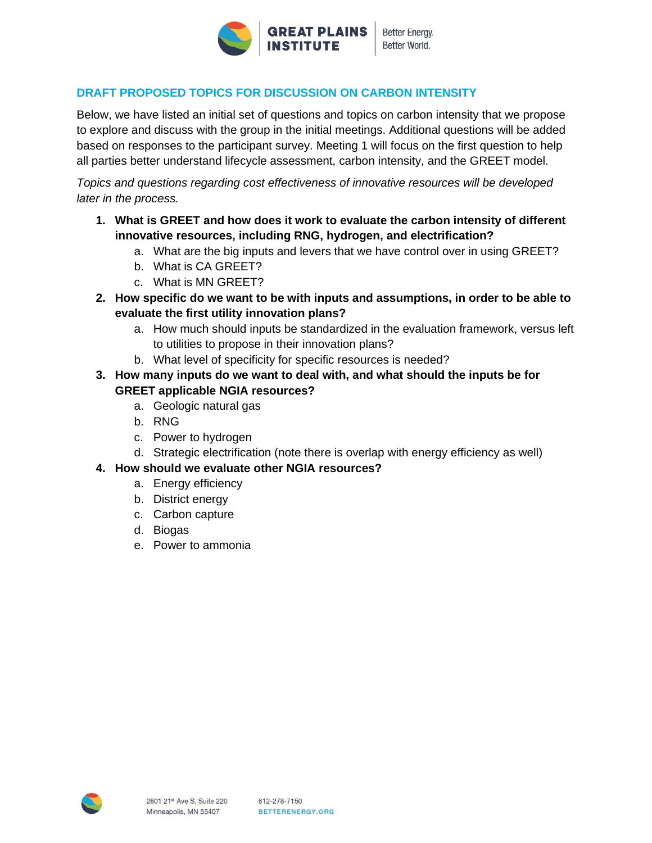

## **DRAFT PROPOSED TOPICS FOR DISCUSSION ON CARBON INTENSITY**

Below, we have listed an initial set of questions and topics on carbon intensity that we propose to explore and discuss with the group in the initial meetings. Additional questions will be added based on responses to the participant survey. Meeting 1 will focus on the first question to help all parties better understand lifecycle assessment, carbon intensity, and the GREET model.

*Topics and questions regarding cost effectiveness of innovative resources will be developed later in the process.*

- **1. What is GREET and how does it work to evaluate the carbon intensity of different innovative resources, including RNG, hydrogen, and electrification?**
	- a. What are the big inputs and levers that we have control over in using GREET?
	- b. What is CA GREET?
	- c. What is MN GREET?
- **2. How specific do we want to be with inputs and assumptions, in order to be able to evaluate the first utility innovation plans?**
	- a. How much should inputs be standardized in the evaluation framework, versus left to utilities to propose in their innovation plans?
	- b. What level of specificity for specific resources is needed?
- **3. How many inputs do we want to deal with, and what should the inputs be for GREET applicable NGIA resources?**
	- a. Geologic natural gas
	- b. RNG
	- c. Power to hydrogen
	- d. Strategic electrification (note there is overlap with energy efficiency as well)

#### **4. How should we evaluate other NGIA resources?**

- a. Energy efficiency
- b. District energy
- c. Carbon capture
- d. Biogas
- e. Power to ammonia

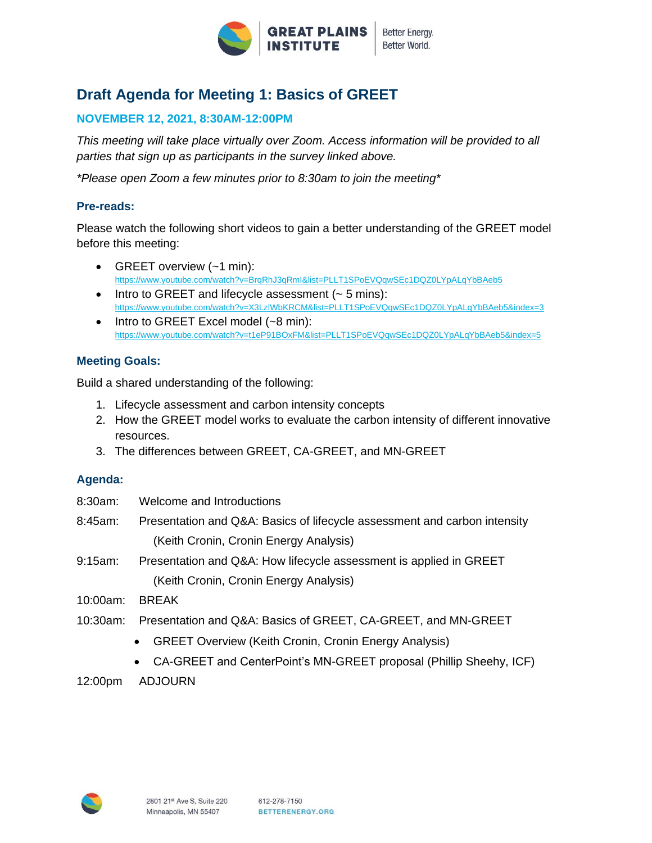

# **Draft Agenda for Meeting 1: Basics of GREET**

### **NOVEMBER 12, 2021, 8:30AM-12:00PM**

*This meeting will take place virtually over Zoom. Access information will be provided to all parties that sign up as participants in the survey linked above.*

*\*Please open Zoom a few minutes prior to 8:30am to join the meeting\**

#### **Pre-reads:**

Please watch the following short videos to gain a better understanding of the GREET model before this meeting:

- GREET overview (~1 min): <https://www.youtube.com/watch?v=BrqRhJ3qRmI&list=PLLT1SPoEVQqwSEc1DQZ0LYpALqYbBAeb5>
- Intro to GREET and lifecycle assessment  $($   $\sim$  5 mins): <https://www.youtube.com/watch?v=X3LzlWbKRCM&list=PLLT1SPoEVQqwSEc1DQZ0LYpALqYbBAeb5&index=3>
- Intro to GREET Excel model (~8 min): <https://www.youtube.com/watch?v=t1eP91BOxFM&list=PLLT1SPoEVQqwSEc1DQZ0LYpALqYbBAeb5&index=5>

#### **Meeting Goals:**

Build a shared understanding of the following:

- 1. Lifecycle assessment and carbon intensity concepts
- 2. How the GREET model works to evaluate the carbon intensity of different innovative resources.
- 3. The differences between GREET, CA-GREET, and MN-GREET

#### **Agenda:**

- 8:30am: Welcome and Introductions
- 8:45am: Presentation and Q&A: Basics of lifecycle assessment and carbon intensity (Keith Cronin, Cronin Energy Analysis)
- 9:15am: Presentation and Q&A: How lifecycle assessment is applied in GREET (Keith Cronin, Cronin Energy Analysis)
- 10:00am: BREAK
- 10:30am: Presentation and Q&A: Basics of GREET, CA-GREET, and MN-GREET
	- GREET Overview (Keith Cronin, Cronin Energy Analysis)
	- CA-GREET and CenterPoint's MN-GREET proposal (Phillip Sheehy, ICF)
- 12:00pm ADJOURN

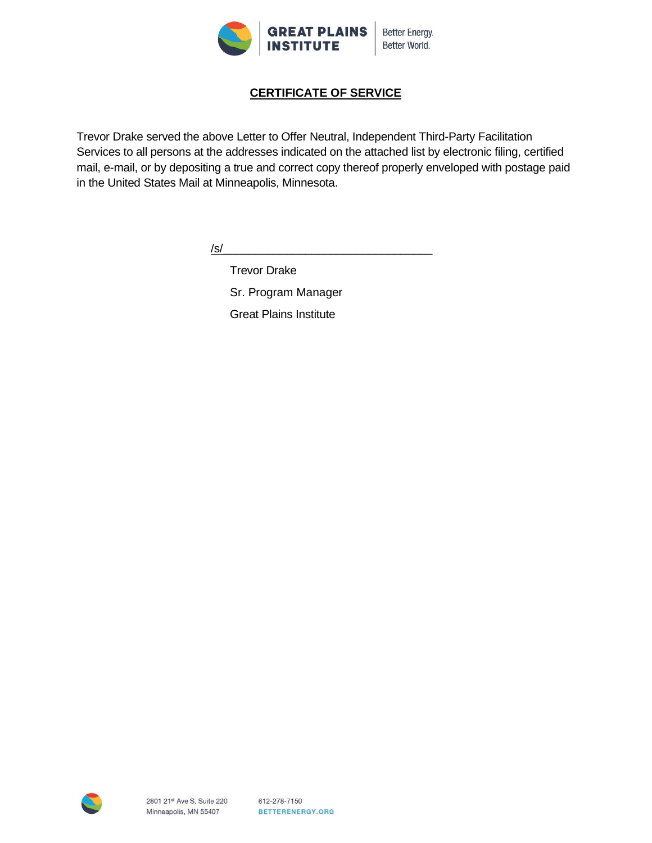

# **CERTIFICATE OF SERVICE**

Trevor Drake served the above Letter to Offer Neutral, Independent Third-Party Facilitation Services to all persons at the addresses indicated on the attached list by electronic filing, certified mail, e-mail, or by depositing a true and correct copy thereof properly enveloped with postage paid in the United States Mail at Minneapolis, Minnesota.

/s/\_\_\_\_\_\_\_\_\_\_\_\_\_\_\_\_\_\_\_\_\_\_\_\_\_\_\_\_\_\_\_\_\_

Trevor Drake Sr. Program Manager Great Plains Institute

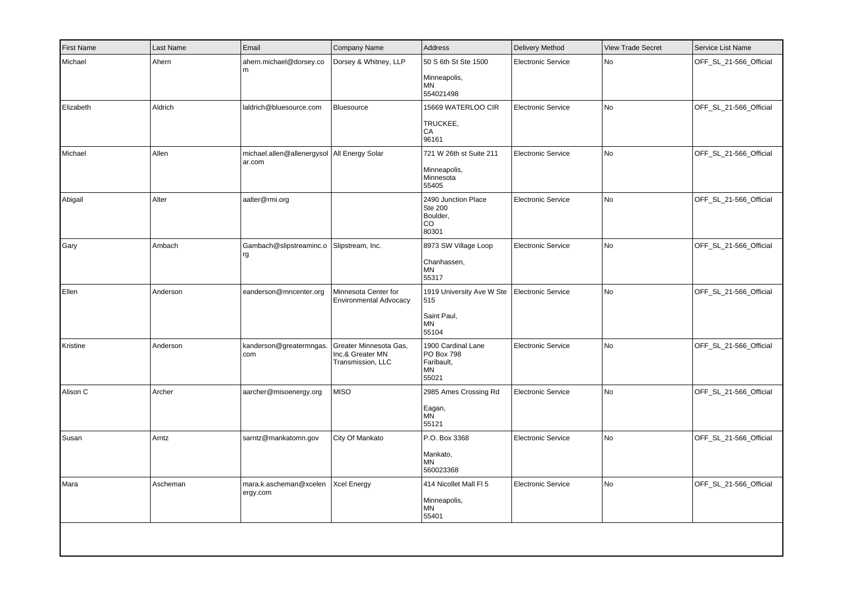| First Name | Last Name | Email                                                   | Company Name                                                    | <b>Address</b>                                                   | Delivery Method           | <b>View Trade Secret</b> | Service List Name      |
|------------|-----------|---------------------------------------------------------|-----------------------------------------------------------------|------------------------------------------------------------------|---------------------------|--------------------------|------------------------|
| Michael    | Ahern     | ahern.michael@dorsey.co<br>l m                          | Dorsey & Whitney, LLP                                           | 50 S 6th St Ste 1500<br>Minneapolis,<br>MN<br>554021498          | <b>Electronic Service</b> | No                       | OFF_SL_21-566_Official |
| Elizabeth  | Aldrich   | laldrich@bluesource.com                                 | Bluesource                                                      | 15669 WATERLOO CIR<br>TRUCKEE,<br>CA<br>96161                    | <b>Electronic Service</b> | No                       | OFF_SL_21-566_Official |
| Michael    | Allen     | michael.allen@allenergysol   All Energy Solar<br>ar.com |                                                                 | 721 W 26th st Suite 211<br>Minneapolis,<br>Minnesota<br>55405    | <b>Electronic Service</b> | No                       | OFF_SL_21-566_Official |
| Abigail    | Alter     | aalter@rmi.org                                          |                                                                 | 2490 Junction Place<br><b>Ste 200</b><br>Boulder,<br>CO<br>80301 | <b>Electronic Service</b> | No                       | OFF_SL_21-566_Official |
| Gary       | Ambach    | Gambach@slipstreaminc.o<br>rg                           | Slipstream, Inc.                                                | 8973 SW Village Loop<br>Chanhassen,<br>MN<br>55317               | <b>Electronic Service</b> | No                       | OFF_SL_21-566_Official |
| Ellen      | Anderson  | eanderson@mncenter.org                                  | Minnesota Center for<br>Environmental Advocacy                  | 1919 University Ave W Ste<br>515<br>Saint Paul,<br>MN<br>55104   | <b>Electronic Service</b> | No                       | OFF_SL_21-566_Official |
| Kristine   | Anderson  | kanderson@greatermngas.<br>  com                        | Greater Minnesota Gas,<br>Inc.& Greater MN<br>Transmission, LLC | 1900 Cardinal Lane<br>PO Box 798<br>Faribault,<br>MN<br>55021    | <b>Electronic Service</b> | No                       | OFF_SL_21-566_Official |
| Alison C   | Archer    | aarcher@misoenergy.org                                  | <b>MISO</b>                                                     | 2985 Ames Crossing Rd<br>Eagan,<br>MN<br>55121                   | <b>Electronic Service</b> | No                       | OFF_SL_21-566_Official |
| Susan      | Arntz     | sarntz@mankatomn.gov                                    | City Of Mankato                                                 | P.O. Box 3368<br>Mankato,<br><b>MN</b><br>560023368              | <b>Electronic Service</b> | No                       | OFF_SL_21-566_Official |
| Mara       | Ascheman  | mara.k.ascheman@xcelen<br>ergy.com                      | <b>Xcel Energy</b>                                              | 414 Nicollet Mall FI 5<br>Minneapolis,<br>MN<br>55401            | <b>Electronic Service</b> | No                       | OFF_SL_21-566_Official |
|            |           |                                                         |                                                                 |                                                                  |                           |                          |                        |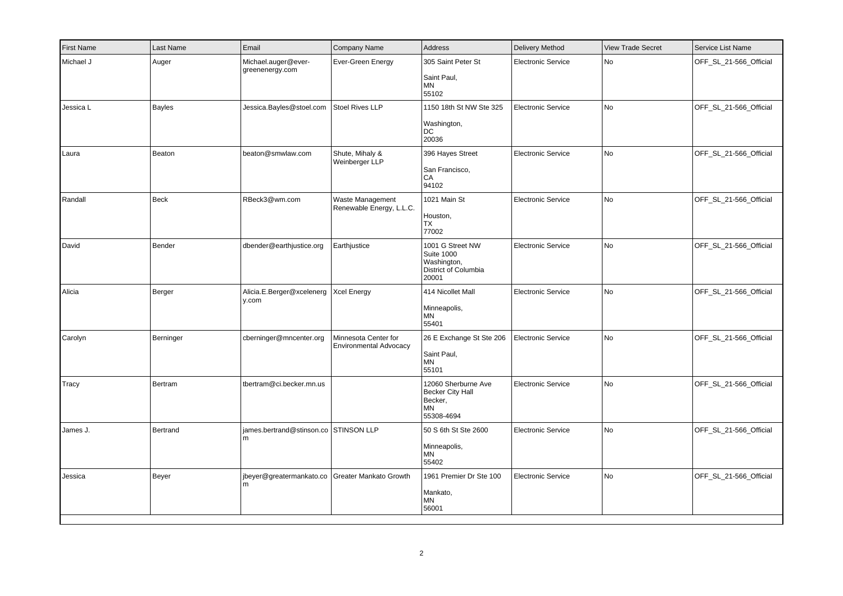| First Name | Last Name     | Email                                                | Company Name                                   | Address                                                                               | <b>Delivery Method</b>    | <b>View Trade Secret</b> | Service List Name      |
|------------|---------------|------------------------------------------------------|------------------------------------------------|---------------------------------------------------------------------------------------|---------------------------|--------------------------|------------------------|
| Michael J  | Auger         | Michael.auger@ever-<br>greenenergy.com               | Ever-Green Energy                              | 305 Saint Peter St<br>Saint Paul,<br><b>MN</b><br>55102                               | <b>Electronic Service</b> | No                       | OFF_SL_21-566_Official |
| Jessica L  | <b>Bayles</b> | Jessica.Bayles@stoel.com                             | Stoel Rives LLP                                | 1150 18th St NW Ste 325<br>Washington,<br>DC<br>20036                                 | <b>Electronic Service</b> | No                       | OFF_SL_21-566_Official |
| Laura      | Beaton        | beaton@smwlaw.com                                    | Shute, Mihaly &<br>Weinberger LLP              | 396 Hayes Street<br>San Francisco,<br>CA<br>94102                                     | <b>Electronic Service</b> | No                       | OFF_SL_21-566_Official |
| Randall    | Beck          | RBeck3@wm.com                                        | Waste Management<br>Renewable Energy, L.L.C.   | 1021 Main St<br>Houston,<br>TX<br>77002                                               | <b>Electronic Service</b> | <b>No</b>                | OFF_SL_21-566_Official |
| David      | Bender        | dbender@earthjustice.org                             | Earthjustice                                   | 1001 G Street NW<br><b>Suite 1000</b><br>Washington,<br>District of Columbia<br>20001 | <b>Electronic Service</b> | No                       | OFF_SL_21-566_Official |
| Alicia     | Berger        | Alicia.E.Berger@xcelenerg<br>y.com                   | Xcel Energy                                    | 414 Nicollet Mall<br>Minneapolis,<br>MN<br>55401                                      | <b>Electronic Service</b> | No                       | OFF SL 21-566 Official |
| Carolyn    | Berninger     | cberninger@mncenter.org                              | Minnesota Center for<br>Environmental Advocacy | 26 E Exchange St Ste 206<br>Saint Paul,<br><b>MN</b><br>55101                         | <b>Electronic Service</b> | No                       | OFF_SL_21-566_Official |
| Tracy      | Bertram       | tbertram@ci.becker.mn.us                             |                                                | 12060 Sherburne Ave<br><b>Becker City Hall</b><br>Becker,<br><b>MN</b><br>55308-4694  | <b>Electronic Service</b> | No                       | OFF_SL_21-566_Official |
| James J.   | Bertrand      | james.bertrand@stinson.co STINSON LLP<br>m           |                                                | 50 S 6th St Ste 2600<br>Minneapolis,<br><b>MN</b><br>55402                            | <b>Electronic Service</b> | No                       | OFF_SL_21-566_Official |
| Jessica    | Beyer         | jbeyer@greatermankato.co Greater Mankato Growth<br>m |                                                | 1961 Premier Dr Ste 100<br>Mankato,<br><b>MN</b><br>56001                             | <b>Electronic Service</b> | No                       | OFF_SL_21-566_Official |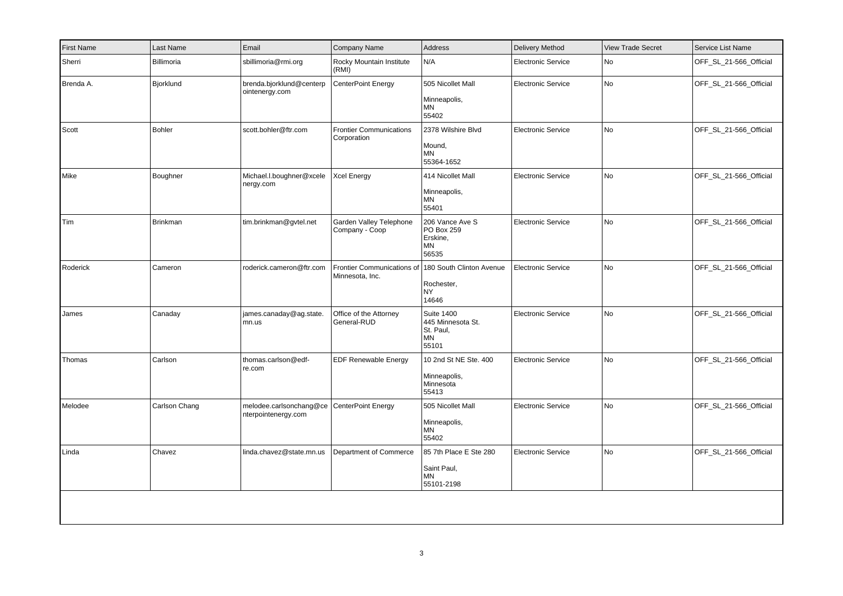| <b>First Name</b> | Last Name       | Email                                          | Company Name                                  | Address                                                            | <b>Delivery Method</b>    | <b>View Trade Secret</b> | Service List Name      |
|-------------------|-----------------|------------------------------------------------|-----------------------------------------------|--------------------------------------------------------------------|---------------------------|--------------------------|------------------------|
| Sherri            | Billimoria      | sbillimoria@rmi.org                            | Rocky Mountain Institute<br>(RMI)             | N/A                                                                | <b>Electronic Service</b> | No                       | OFF_SL_21-566_Official |
| Brenda A.         | Bjorklund       | brenda.bjorklund@centerp<br>ointenergy.com     | CenterPoint Energy                            | 505 Nicollet Mall<br>Minneapolis,<br>MN<br>55402                   | <b>Electronic Service</b> | No                       | OFF_SL_21-566_Official |
| Scott             | Bohler          | scott.bohler@ftr.com                           | <b>Frontier Communications</b><br>Corporation | 2378 Wilshire Blvd<br>Mound,<br><b>MN</b><br>55364-1652            | <b>Electronic Service</b> | No                       | OFF_SL_21-566_Official |
| Mike              | Boughner        | Michael.l.boughner@xcele<br>nergy.com          | Xcel Energy                                   | 414 Nicollet Mall<br>Minneapolis,<br>ΜN<br>55401                   | <b>Electronic Service</b> | No                       | OFF_SL_21-566_Official |
| Tim               | <b>Brinkman</b> | tim.brinkman@gvtel.net                         | Garden Valley Telephone<br>Company - Coop     | 206 Vance Ave S<br>PO Box 259<br>Erskine,<br>ΜN<br>56535           | <b>Electronic Service</b> | No                       | OFF_SL_21-566_Official |
| Roderick          | Cameron         | roderick.cameron@ftr.com                       | Frontier Communications of<br>Minnesota, Inc. | 180 South Clinton Avenue<br>Rochester,<br><b>NY</b><br>14646       | <b>Electronic Service</b> | No                       | OFF_SL_21-566_Official |
| James             | Canaday         | james.canaday@ag.state.<br>mn.us               | Office of the Attorney<br>General-RUD         | <b>Suite 1400</b><br>445 Minnesota St.<br>St. Paul,<br>MN<br>55101 | <b>Electronic Service</b> | No                       | OFF_SL_21-566_Official |
| Thomas            | Carlson         | thomas.carlson@edf-<br>re.com                  | <b>EDF Renewable Energy</b>                   | 10 2nd St NE Ste. 400<br>Minneapolis,<br>Minnesota<br>55413        | <b>Electronic Service</b> | No                       | OFF SL 21-566 Official |
| Melodee           | Carlson Chang   | melodee.carlsonchang@ce<br>nterpointenergy.com | <b>CenterPoint Energy</b>                     | 505 Nicollet Mall<br>Minneapolis,<br>ΜN<br>55402                   | <b>Electronic Service</b> | No                       | OFF_SL_21-566_Official |
| Linda             | Chavez          | linda.chavez@state.mn.us                       | Department of Commerce                        | 85 7th Place E Ste 280<br>Saint Paul,<br>MN<br>55101-2198          | <b>Electronic Service</b> | No                       | OFF_SL_21-566_Official |
|                   |                 |                                                |                                               |                                                                    |                           |                          |                        |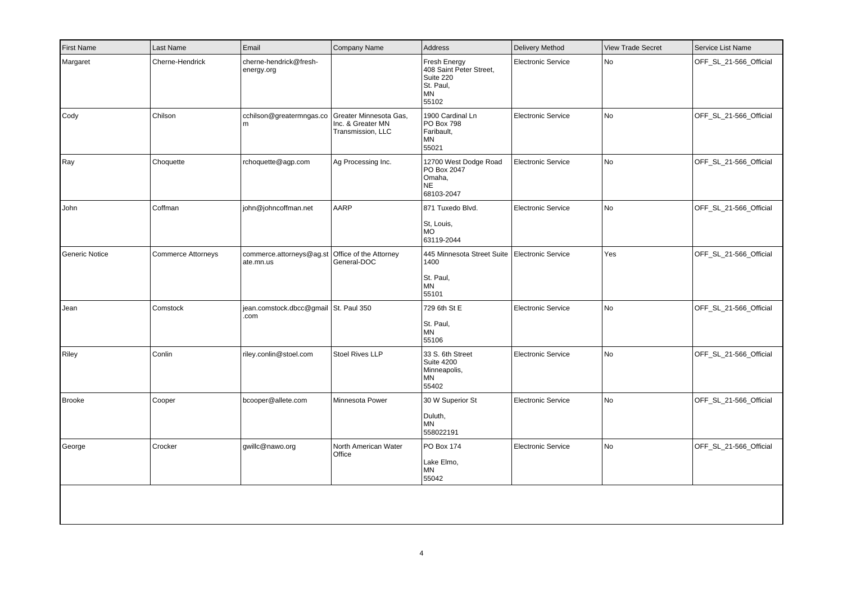| First Name     | Last Name                 | Email                                         | Company Name                                                     | Address                                                                             | <b>Delivery Method</b>    | <b>View Trade Secret</b> | Service List Name      |
|----------------|---------------------------|-----------------------------------------------|------------------------------------------------------------------|-------------------------------------------------------------------------------------|---------------------------|--------------------------|------------------------|
| Margaret       | Cherne-Hendrick           | cherne-hendrick@fresh-<br>energy.org          |                                                                  | Fresh Energy<br>408 Saint Peter Street<br>Suite 220<br>St. Paul,<br>MN<br>55102     | <b>Electronic Service</b> | No                       | OFF_SL_21-566_Official |
| Cody           | Chilson                   | cchilson@greatermngas.co<br>m                 | Greater Minnesota Gas,<br>Inc. & Greater MN<br>Transmission, LLC | 1900 Cardinal Ln<br>PO Box 798<br>Faribault,<br>MN<br>55021                         | <b>Electronic Service</b> | No                       | OFF_SL_21-566_Official |
| Ray            | Choquette                 | rchoquette@agp.com                            | Ag Processing Inc.                                               | 12700 West Dodge Road<br>PO Box 2047<br>Omaha,<br><b>NE</b><br>68103-2047           | Electronic Service        | No                       | OFF_SL_21-566_Official |
| John           | Coffman                   | john@johncoffman.net                          | AARP                                                             | 871 Tuxedo Blvd.<br>St, Louis,<br><b>MO</b><br>63119-2044                           | Electronic Service        | No                       | OFF_SL_21-566_Official |
| Generic Notice | <b>Commerce Attorneys</b> | commerce.attorneys@ag.st<br>ate.mn.us         | Office of the Attorney<br>General-DOC                            | 445 Minnesota Street Suite   Electronic Service<br>1400<br>St. Paul,<br>ΜN<br>55101 |                           | Yes                      | OFF_SL_21-566_Official |
| Jean           | Comstock                  | jean.comstock.dbcc@gmail St. Paul 350<br>.com |                                                                  | 729 6th St E<br>St. Paul,<br>ΜN<br>55106                                            | <b>Electronic Service</b> | No                       | OFF_SL_21-566_Official |
| Riley          | Conlin                    | riley.conlin@stoel.com                        | Stoel Rives LLP                                                  | 33 S. 6th Street<br><b>Suite 4200</b><br>Minneapolis,<br>ΜN<br>55402                | Electronic Service        | No                       | OFF_SL_21-566_Official |
| <b>Brooke</b>  | Cooper                    | bcooper@allete.com                            | Minnesota Power                                                  | 30 W Superior St<br>Duluth,<br><b>MN</b><br>558022191                               | <b>Electronic Service</b> | No                       | OFF_SL_21-566_Official |
| George         | Crocker                   | gwillc@nawo.org                               | North American Water<br>Office                                   | PO Box 174<br>Lake Elmo,<br>ΜN<br>55042                                             | <b>Electronic Service</b> | No                       | OFF_SL_21-566_Official |
|                |                           |                                               |                                                                  |                                                                                     |                           |                          |                        |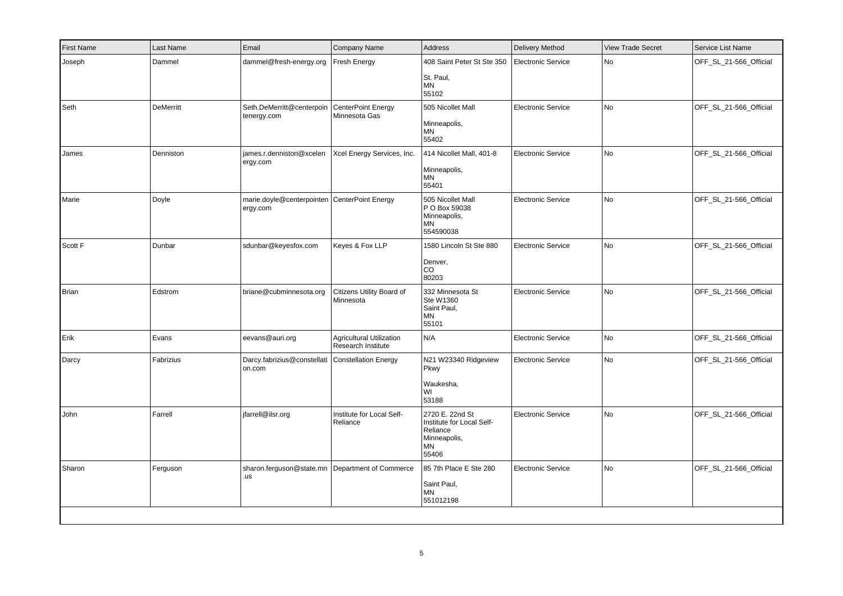| <b>First Name</b> | Last Name        | Email                                                      | Company Name                                          | <b>Address</b>                                                                          | <b>Delivery Method</b>    | <b>View Trade Secret</b> | Service List Name      |
|-------------------|------------------|------------------------------------------------------------|-------------------------------------------------------|-----------------------------------------------------------------------------------------|---------------------------|--------------------------|------------------------|
| Joseph            | Dammel           | dammel@fresh-energy.org                                    | <b>Fresh Energy</b>                                   | 408 Saint Peter St Ste 350<br>St. Paul,<br>MN<br>55102                                  | Electronic Service        | <b>No</b>                | OFF SL 21-566 Official |
| Seth              | <b>DeMerritt</b> | Seth.DeMerritt@centerpoin<br>tenergy.com                   | <b>CenterPoint Energy</b><br>Minnesota Gas            | 505 Nicollet Mall<br>Minneapolis,<br>MN<br>55402                                        | <b>Electronic Service</b> | No                       | OFF_SL_21-566_Official |
| James             | Denniston        | james.r.denniston@xcelen<br>ergy.com                       | Xcel Energy Services, Inc.                            | 414 Nicollet Mall, 401-8<br>Minneapolis,<br>MN<br>55401                                 | <b>Electronic Service</b> | <b>No</b>                | OFF_SL_21-566_Official |
| Marie             | Doyle            | marie.doyle@centerpointen   CenterPoint Energy<br>ergy.com |                                                       | 505 Nicollet Mall<br>P O Box 59038<br>Minneapolis,<br>MN<br>554590038                   | <b>Electronic Service</b> | No                       | OFF_SL_21-566_Official |
| Scott F           | Dunbar           | sdunbar@keyesfox.com                                       | Keyes & Fox LLP                                       | 1580 Lincoln St Ste 880<br>Denver,<br>CO<br>80203                                       | <b>Electronic Service</b> | No                       | OFF_SL_21-566_Official |
| Brian             | Edstrom          | briane@cubminnesota.org                                    | Citizens Utility Board of<br>Minnesota                | 332 Minnesota St<br>Ste W1360<br>Saint Paul,<br>ΜN<br>55101                             | <b>Electronic Service</b> | No                       | OFF_SL_21-566_Official |
| Erik              | Evans            | eevans@auri.org                                            | <b>Agricultural Utilization</b><br>Research Institute | N/A                                                                                     | <b>Electronic Service</b> | No                       | OFF_SL_21-566_Official |
| Darcy             | Fabrizius        | Darcy.fabrizius@constellati<br>on.com                      | <b>Constellation Energy</b>                           | N21 W23340 Ridgeview<br>Pkwy<br>Waukesha,<br>WI<br>53188                                | <b>Electronic Service</b> | No                       | OFF_SL_21-566_Official |
| John              | Farrell          | jfarrell@ilsr.org                                          | Institute for Local Self-<br>Reliance                 | 2720 E. 22nd St<br>Institute for Local Self-<br>Reliance<br>Minneapolis,<br>MN<br>55406 | <b>Electronic Service</b> | No                       | OFF_SL_21-566_Official |
| Sharon            | Ferguson         | sharon.ferguson@state.mn   Department of Commerce<br>.us   |                                                       | 85 7th Place E Ste 280<br>Saint Paul,<br><b>MN</b><br>551012198                         | <b>Electronic Service</b> | No                       | OFF_SL_21-566_Official |
|                   |                  |                                                            |                                                       |                                                                                         |                           |                          |                        |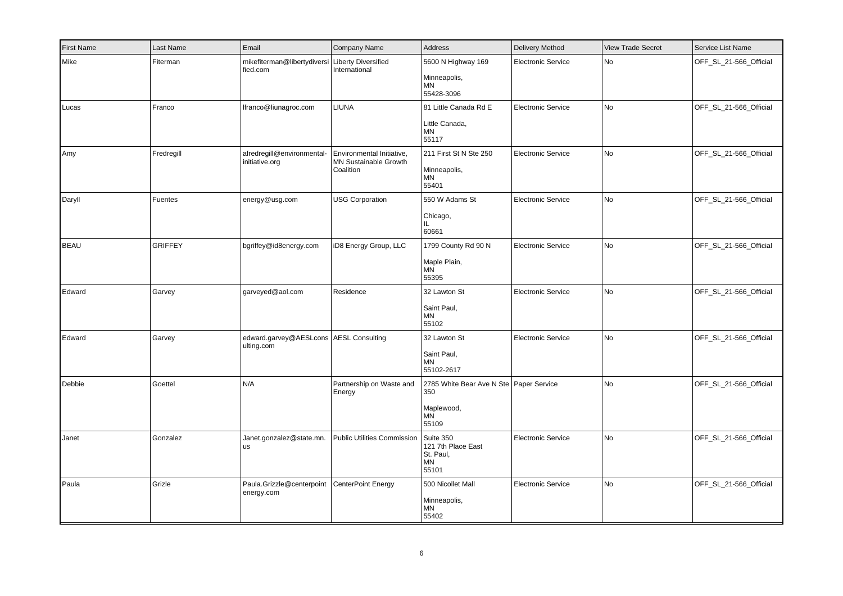| First Name  | Last Name      | Email                                                       | Company Name                                                           | Address                                                                              | <b>Delivery Method</b>    | <b>View Trade Secret</b> | Service List Name      |
|-------------|----------------|-------------------------------------------------------------|------------------------------------------------------------------------|--------------------------------------------------------------------------------------|---------------------------|--------------------------|------------------------|
| Mike        | Fiterman       | mikefiterman@libertydiversi Liberty Diversified<br>fied.com | International                                                          | 5600 N Highway 169<br>Minneapolis,<br>MN<br>55428-3096                               | <b>Electronic Service</b> | No                       | OFF_SL_21-566_Official |
| Lucas       | Franco         | Ifranco@liunagroc.com                                       | <b>LIUNA</b>                                                           | 81 Little Canada Rd E<br>Little Canada,<br><b>MN</b><br>55117                        | <b>Electronic Service</b> | No                       | OFF_SL_21-566_Official |
| Amy         | Fredregill     | afredregill@environmental-<br>initiative.org                | Environmental Initiative,<br><b>MN Sustainable Growth</b><br>Coalition | 211 First St N Ste 250<br>Minneapolis,<br><b>MN</b><br>55401                         | Electronic Service        | No                       | OFF SL 21-566 Official |
| Daryll      | Fuentes        | energy@usg.com                                              | <b>USG Corporation</b>                                                 | 550 W Adams St<br>Chicago,<br>IL.<br>60661                                           | Electronic Service        | No                       | OFF_SL_21-566_Official |
| <b>BEAU</b> | <b>GRIFFEY</b> | bgriffey@id8energy.com                                      | iD8 Energy Group, LLC                                                  | 1799 County Rd 90 N<br>Maple Plain,<br><b>MN</b><br>55395                            | Electronic Service        | No                       | OFF_SL_21-566_Official |
| Edward      | Garvey         | garveyed@aol.com                                            | Residence                                                              | 32 Lawton St<br>Saint Paul,<br><b>MN</b><br>55102                                    | <b>Electronic Service</b> | No                       | OFF_SL_21-566_Official |
| Edward      | Garvey         | edward.garvey@AESLcons   AESL Consulting<br>ulting.com      |                                                                        | 32 Lawton St<br>Saint Paul,<br>ΜN<br>55102-2617                                      | <b>Electronic Service</b> | No                       | OFF_SL_21-566_Official |
| Debbie      | Goettel        | N/A                                                         | Partnership on Waste and<br>Energy                                     | 2785 White Bear Ave N Ste   Paper Service<br>350<br>Maplewood,<br><b>MN</b><br>55109 |                           | <b>No</b>                | OFF_SL_21-566_Official |
| Janet       | Gonzalez       | Janet.gonzalez@state.mn.<br><b>us</b>                       | Public Utilities Commission Suite 350                                  | 121 7th Place East<br>St. Paul,<br>MN<br>55101                                       | <b>Electronic Service</b> | No                       | OFF_SL_21-566_Official |
| Paula       | Grizle         | Paula.Grizzle@centerpoint<br>energy.com                     | CenterPoint Energy                                                     | 500 Nicollet Mall<br>Minneapolis,<br>MN<br>55402                                     | <b>Electronic Service</b> | No                       | OFF_SL_21-566_Official |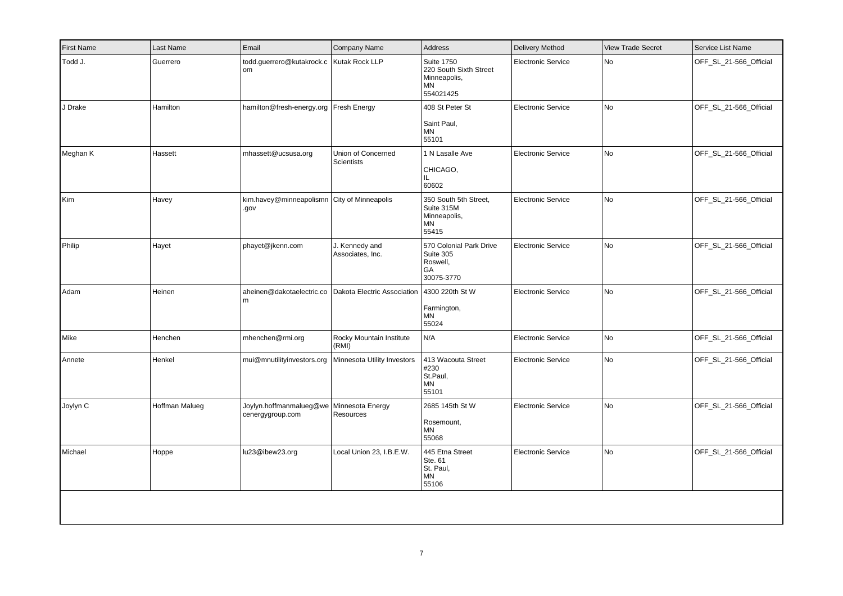| Last Name      | Email                          | Company Name                            | Address                                                                                                                                                        | <b>Delivery Method</b>                        | <b>View Trade Secret</b> | Service List Name      |
|----------------|--------------------------------|-----------------------------------------|----------------------------------------------------------------------------------------------------------------------------------------------------------------|-----------------------------------------------|--------------------------|------------------------|
| Guerrero       | om                             |                                         | <b>Suite 1750</b><br>Minneapolis,<br>MN<br>554021425                                                                                                           | <b>Electronic Service</b>                     | No                       | OFF_SL_21-566_Official |
| Hamilton       |                                |                                         | 408 St Peter St<br>Saint Paul,<br>ΜN<br>55101                                                                                                                  | <b>Electronic Service</b>                     | No                       | OFF_SL_21-566_Official |
| Hassett        | mhassett@ucsusa.org            | Union of Concerned<br><b>Scientists</b> | 1 N Lasalle Ave<br>CHICAGO,<br>IL.<br>60602                                                                                                                    | <b>Electronic Service</b>                     | No                       | OFF_SL_21-566_Official |
| Havey          | .gov                           |                                         | 350 South 5th Street,<br>Suite 315M<br>Minneapolis,<br>MN<br>55415                                                                                             | <b>Electronic Service</b>                     | No                       | OFF_SL_21-566_Official |
| Hayet          | phayet@jkenn.com               | J. Kennedy and<br>Associates, Inc.      | 570 Colonial Park Drive<br>Suite 305<br>Roswell,<br>GA<br>30075-3770                                                                                           | Electronic Service                            | No                       | OFF_SL_21-566_Official |
| Heinen         | aheinen@dakotaelectric.co<br>m |                                         | Farmington,<br><b>MN</b><br>55024                                                                                                                              | <b>Electronic Service</b>                     | No                       | OFF_SL_21-566_Official |
| Henchen        | mhenchen@rmi.org               | Rocky Mountain Institute<br>(RMI)       | N/A                                                                                                                                                            | <b>Electronic Service</b>                     | No                       | OFF_SL_21-566_Official |
| Henkel         | mui@mnutilityinvestors.org     | Minnesota Utility Investors             | 413 Wacouta Street<br>#230<br>St.Paul,<br>MN<br>55101                                                                                                          | <b>Electronic Service</b>                     | No                       | OFF_SL_21-566_Official |
| Hoffman Malueg | cenergygroup.com               | Minnesota Energy<br>Resources           | 2685 145th St W<br>Rosemount,<br>ΜN<br>55068                                                                                                                   | <b>Electronic Service</b>                     | No                       | OFF_SL_21-566_Official |
| Hoppe          | lu23@ibew23.org                | Local Union 23, I.B.E.W.                | 445 Etna Street<br>Ste. 61<br>St. Paul,<br>ΜN<br>55106                                                                                                         | <b>Electronic Service</b>                     | No.                      | OFF SL 21-566 Official |
|                |                                |                                         | todd.guerrero@kutakrock.c Kutak Rock LLP<br>hamilton@fresh-energy.org   Fresh Energy<br>kim.havey@minneapolismn City of Minneapolis<br>Joylyn.hoffmanmalueg@we | Dakota Electric Association   4300 220th St W | 220 South Sixth Street   |                        |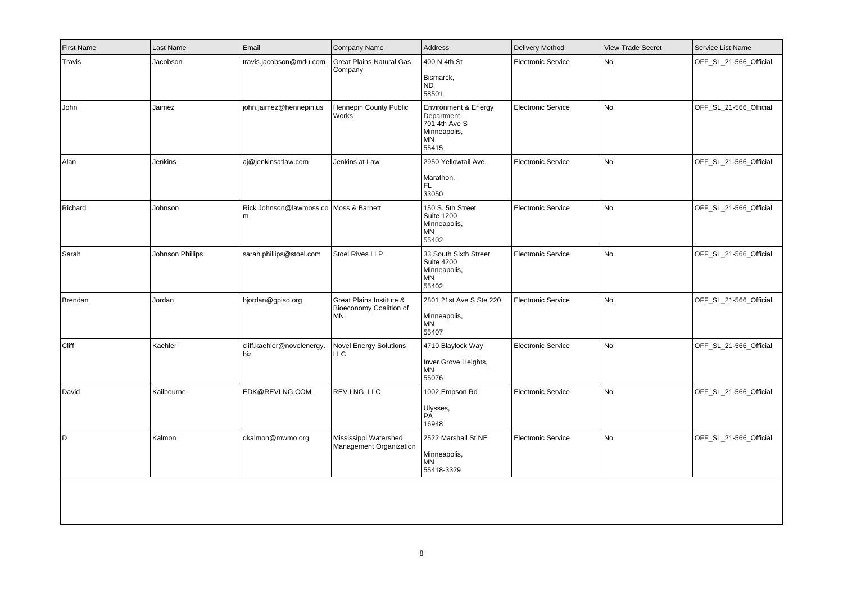| travis.jacobson@mdu.com<br><b>Great Plains Natural Gas</b><br>Company<br>john.jaimez@hennepin.us<br>Hennepin County Public<br>Works<br>aj@jenkinsatlaw.com<br>Jenkins at Law<br>Rick.Johnson@lawmoss.co Moss & Barnett | 400 N 4th St<br>Bismarck,<br><b>ND</b><br>58501<br>Environment & Energy<br>Department<br>701 4th Ave S<br>Minneapolis,<br><b>MN</b><br>55415<br>2950 Yellowtail Ave.<br>Marathon,<br>FL.<br>33050<br>150 S. 5th Street<br><b>Suite 1200</b><br>Minneapolis,<br><b>MN</b><br>55402 | Electronic Service<br><b>Electronic Service</b><br><b>Electronic Service</b><br><b>Electronic Service</b> | No<br><b>No</b><br>No<br>No | OFF_SL_21-566_Official<br>OFF_SL_21-566_Official<br>OFF_SL_21-566_Official |
|------------------------------------------------------------------------------------------------------------------------------------------------------------------------------------------------------------------------|-----------------------------------------------------------------------------------------------------------------------------------------------------------------------------------------------------------------------------------------------------------------------------------|-----------------------------------------------------------------------------------------------------------|-----------------------------|----------------------------------------------------------------------------|
|                                                                                                                                                                                                                        |                                                                                                                                                                                                                                                                                   |                                                                                                           |                             |                                                                            |
|                                                                                                                                                                                                                        |                                                                                                                                                                                                                                                                                   |                                                                                                           |                             |                                                                            |
|                                                                                                                                                                                                                        |                                                                                                                                                                                                                                                                                   |                                                                                                           |                             |                                                                            |
|                                                                                                                                                                                                                        |                                                                                                                                                                                                                                                                                   |                                                                                                           |                             | OFF_SL_21-566_Official                                                     |
| sarah.phillips@stoel.com<br>Stoel Rives LLP                                                                                                                                                                            | 33 South Sixth Street<br><b>Suite 4200</b><br>Minneapolis,<br><b>MN</b><br>55402                                                                                                                                                                                                  | <b>Electronic Service</b>                                                                                 | No                          | OFF_SL_21-566_Official                                                     |
| Great Plains Institute &<br>Bioeconomy Coalition of<br><b>MN</b>                                                                                                                                                       | 2801 21st Ave S Ste 220<br>Minneapolis,<br>MN<br>55407                                                                                                                                                                                                                            | <b>Electronic Service</b>                                                                                 | No                          | OFF_SL_21-566_Official                                                     |
| cliff.kaehler@novelenergy.<br><b>Novel Energy Solutions</b><br><b>LLC</b>                                                                                                                                              | 4710 Blaylock Way<br>Inver Grove Heights,<br><b>MN</b><br>55076                                                                                                                                                                                                                   | <b>Electronic Service</b>                                                                                 | No                          | OFF_SL_21-566_Official                                                     |
| EDK@REVLNG.COM<br>REV LNG, LLC                                                                                                                                                                                         | 1002 Empson Rd<br>Ulysses,<br>PÁ<br>16948                                                                                                                                                                                                                                         | <b>Electronic Service</b>                                                                                 | No                          | OFF_SL_21-566_Official                                                     |
|                                                                                                                                                                                                                        | 2522 Marshall St NE<br>Minneapolis,<br><b>MN</b><br>55418-3329                                                                                                                                                                                                                    | <b>Electronic Service</b>                                                                                 | No                          | OFF_SL_21-566_Official                                                     |
|                                                                                                                                                                                                                        | Mississippi Watershed<br>dkalmon@mwmo.org                                                                                                                                                                                                                                         | Management Organization                                                                                   |                             |                                                                            |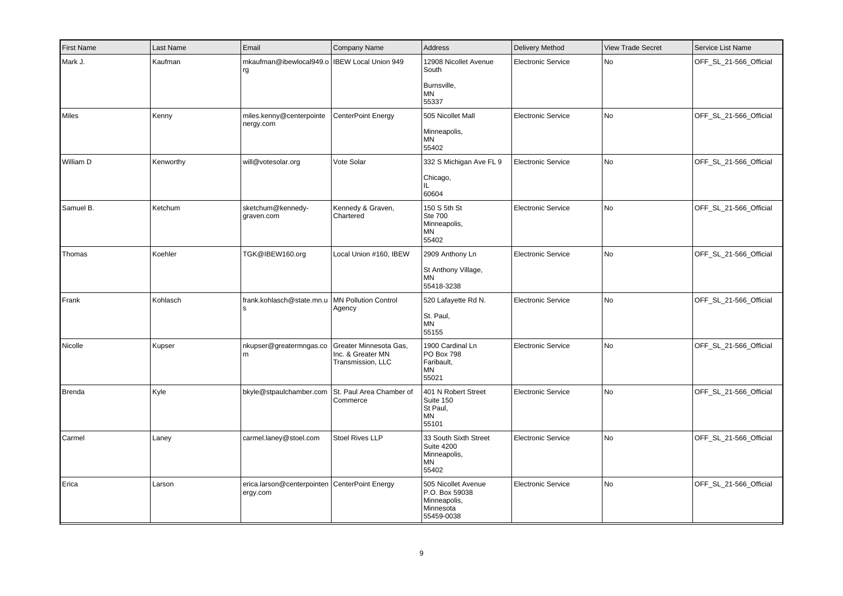| <b>First Name</b> | Last Name | Email                                                       | Company Name                                                     | Address                                                                          | <b>Delivery Method</b>    | <b>View Trade Secret</b> | Service List Name      |
|-------------------|-----------|-------------------------------------------------------------|------------------------------------------------------------------|----------------------------------------------------------------------------------|---------------------------|--------------------------|------------------------|
| Mark J.           | Kaufman   | mkaufman@ibewlocal949.o   IBEW Local Union 949<br>rg        |                                                                  | 12908 Nicollet Avenue<br>South<br>Burnsville,<br>MN<br>55337                     | <b>Electronic Service</b> | No                       | OFF_SL_21-566_Official |
| Miles             | Kenny     | miles.kenny@centerpointe<br>nergy.com                       | CenterPoint Energy                                               | 505 Nicollet Mall<br>Minneapolis,<br><b>MN</b><br>55402                          | <b>Electronic Service</b> | No                       | OFF_SL_21-566_Official |
| William D         | Kenworthy | will@votesolar.org                                          | Vote Solar                                                       | 332 S Michigan Ave FL 9<br>Chicago,<br>IL.<br>60604                              | <b>Electronic Service</b> | No                       | OFF_SL_21-566_Official |
| Samuel B.         | Ketchum   | sketchum@kennedy-<br>graven.com                             | Kennedy & Graven,<br>Chartered                                   | 150 S 5th St<br><b>Ste 700</b><br>Minneapolis,<br>ΜN<br>55402                    | <b>Electronic Service</b> | No                       | OFF_SL_21-566_Official |
| Thomas            | Koehler   | TGK@IBEW160.org                                             | Local Union #160, IBEW                                           | 2909 Anthony Ln<br>St Anthony Village,<br><b>MN</b><br>55418-3238                | <b>Electronic Service</b> | No                       | OFF_SL_21-566_Official |
| Frank             | Kohlasch  | frank.kohlasch@state.mn.u<br>١s                             | <b>MN Pollution Control</b><br>Agency                            | 520 Lafayette Rd N.<br>St. Paul,<br>MN<br>55155                                  | <b>Electronic Service</b> | No                       | OFF_SL_21-566_Official |
| Nicolle           | Kupser    | nkupser@greatermngas.co<br>l m                              | Greater Minnesota Gas,<br>Inc. & Greater MN<br>Transmission, LLC | 1900 Cardinal Ln<br>PO Box 798<br>Faribault,<br>MN<br>55021                      | <b>Electronic Service</b> | No                       | OFF_SL_21-566_Official |
| Brenda            | Kyle      | bkyle@stpaulchamber.com                                     | St. Paul Area Chamber of<br>Commerce                             | 401 N Robert Street<br>Suite 150<br>St Paul,<br>ΜN<br>55101                      | <b>Electronic Service</b> | No                       | OFF_SL_21-566_Official |
| Carmel            | Laney     | carmel.laney@stoel.com                                      | <b>Stoel Rives LLP</b>                                           | 33 South Sixth Street<br><b>Suite 4200</b><br>Minneapolis,<br>ΜN<br>55402        | <b>Electronic Service</b> | No.                      | OFF_SL_21-566_Official |
| Erica             | Larson    | erica.larson@centerpointen   CenterPoint Energy<br>ergy.com |                                                                  | 505 Nicollet Avenue<br>P.O. Box 59038<br>Minneapolis,<br>Minnesota<br>55459-0038 | <b>Electronic Service</b> | No                       | OFF_SL_21-566_Official |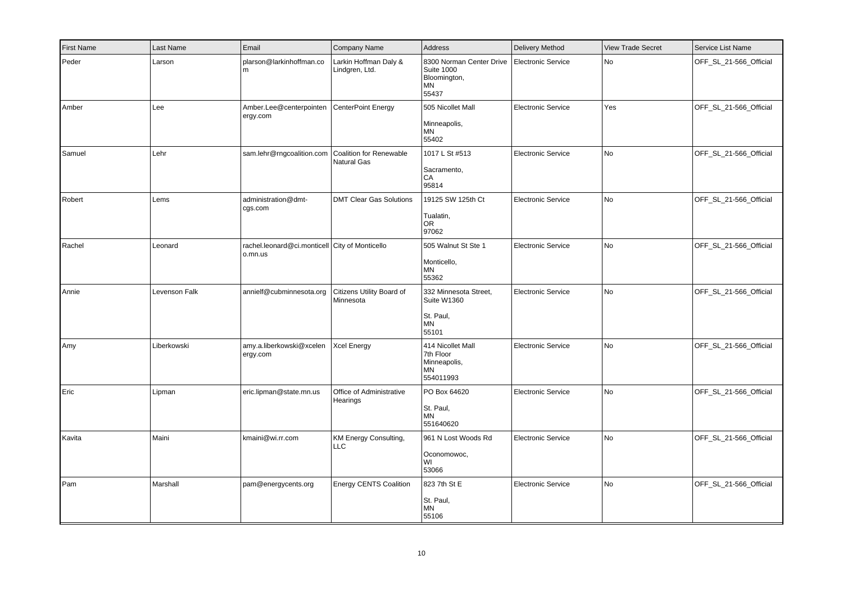| <b>First Name</b> | Last Name     | Email                                                     | Company Name                                  | Address                                                                      | <b>Delivery Method</b>    | <b>View Trade Secret</b> | Service List Name      |
|-------------------|---------------|-----------------------------------------------------------|-----------------------------------------------|------------------------------------------------------------------------------|---------------------------|--------------------------|------------------------|
| Peder             | Larson        | plarson@larkinhoffman.co<br>m                             | Larkin Hoffman Daly &<br>Lindgren, Ltd.       | 8300 Norman Center Drive<br><b>Suite 1000</b><br>Bloomington,<br>MN<br>55437 | Electronic Service        | No                       | OFF_SL_21-566_Official |
| Amber             | Lee           | Amber.Lee@centerpointen<br>ergy.com                       | <b>CenterPoint Energy</b>                     | 505 Nicollet Mall<br>Minneapolis,<br><b>MN</b><br>55402                      | <b>Electronic Service</b> | Yes                      | OFF_SL_21-566_Official |
| Samuel            | Lehr          | sam.lehr@rngcoalition.com                                 | <b>Coalition for Renewable</b><br>Natural Gas | 1017 L St #513<br>Sacramento,<br>CA<br>95814                                 | <b>Electronic Service</b> | No                       | OFF_SL_21-566_Official |
| Robert            | Lems          | administration@dmt-<br>cgs.com                            | <b>DMT Clear Gas Solutions</b>                | 19125 SW 125th Ct<br>Tualatin,<br><b>OR</b><br>97062                         | <b>Electronic Service</b> | No                       | OFF_SL_21-566_Official |
| Rachel            | Leonard       | rachel.leonard@ci.monticell City of Monticello<br>o.mn.us |                                               | 505 Walnut St Ste 1<br>Monticello,<br><b>MN</b><br>55362                     | Electronic Service        | No                       | OFF_SL_21-566_Official |
| Annie             | Levenson Falk | annielf@cubminnesota.org                                  | Citizens Utility Board of<br>Minnesota        | 332 Minnesota Street,<br>Suite W1360<br>St. Paul,<br><b>MN</b><br>55101      | <b>Electronic Service</b> | <b>No</b>                | OFF_SL_21-566_Official |
| Amy               | Liberkowski   | amy.a.liberkowski@xcelen<br>ergy.com                      | <b>Xcel Energy</b>                            | 414 Nicollet Mall<br>7th Floor<br>Minneapolis,<br><b>MN</b><br>554011993     | <b>Electronic Service</b> | No                       | OFF_SL_21-566_Official |
| Eric              | Lipman        | eric.lipman@state.mn.us                                   | Office of Administrative<br>Hearings          | PO Box 64620<br>St. Paul,<br><b>MN</b><br>551640620                          | <b>Electronic Service</b> | No                       | OFF_SL_21-566_Official |
| Kavita            | Maini         | kmaini@wi.rr.com                                          | KM Energy Consulting,<br>LLC                  | 961 N Lost Woods Rd<br>Oconomowoc,<br>WI<br>53066                            | <b>Electronic Service</b> | No                       | OFF_SL_21-566_Official |
| Pam               | Marshall      | pam@energycents.org                                       | <b>Energy CENTS Coalition</b>                 | 823 7th St E<br>St. Paul,<br>MN<br>55106                                     | <b>Electronic Service</b> | No                       | OFF_SL_21-566_Official |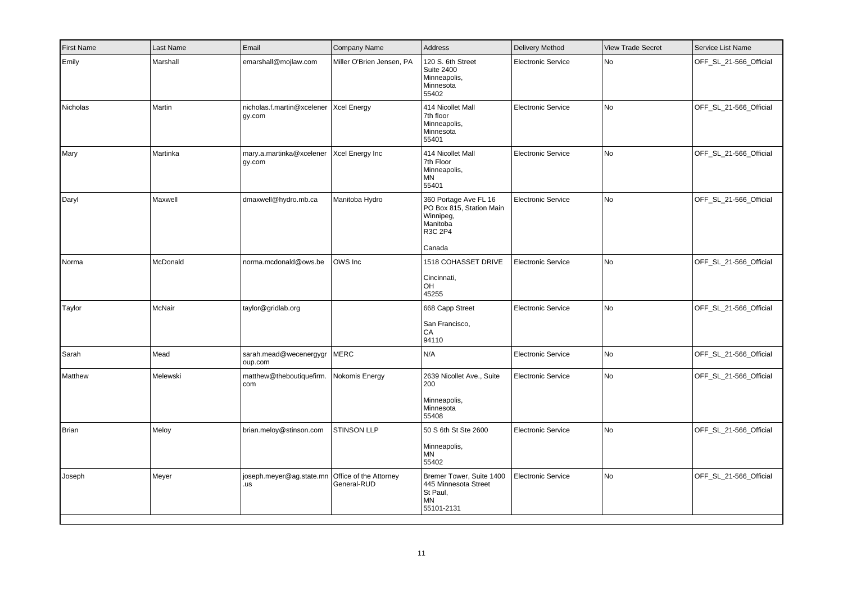| <b>First Name</b> | Last Name | Email                                              | Company Name                          | Address                                                                                         | <b>Delivery Method</b>    | <b>View Trade Secret</b> | Service List Name      |
|-------------------|-----------|----------------------------------------------------|---------------------------------------|-------------------------------------------------------------------------------------------------|---------------------------|--------------------------|------------------------|
| Emily             | Marshall  | emarshall@mojlaw.com                               | Miller O'Brien Jensen, PA             | 120 S. 6th Street<br><b>Suite 2400</b><br>Minneapolis,<br>Minnesota<br>55402                    | <b>Electronic Service</b> | No                       | OFF_SL_21-566_Official |
| Nicholas          | Martin    | nicholas.f.martin@xcelener   Xcel Energy<br>gy.com |                                       | 414 Nicollet Mall<br>7th floor<br>Minneapolis,<br>Minnesota<br>55401                            | <b>Electronic Service</b> | No                       | OFF_SL_21-566_Official |
| Mary              | Martinka  | mary.a.martinka@xcelener<br>gy.com                 | Xcel Energy Inc                       | 414 Nicollet Mall<br>7th Floor<br>Minneapolis,<br>ΜN<br>55401                                   | Electronic Service        | No                       | OFF_SL_21-566_Official |
| Daryl             | Maxwell   | dmaxwell@hydro.mb.ca                               | Manitoba Hydro                        | 360 Portage Ave FL 16<br>PO Box 815, Station Main<br>Winnipeg,<br>Manitoba<br>R3C 2P4<br>Canada | <b>Electronic Service</b> | No                       | OFF_SL_21-566_Official |
| Norma             | McDonald  | norma.mcdonald@ows.be                              | OWS Inc                               | <b>1518 COHASSET DRIVE</b><br>Cincinnati,<br>OH<br>45255                                        | <b>Electronic Service</b> | No                       | OFF_SL_21-566_Official |
| Taylor            | McNair    | taylor@gridlab.org                                 |                                       | 668 Capp Street<br>San Francisco,<br>CA<br>94110                                                | <b>Electronic Service</b> | No                       | OFF_SL_21-566_Official |
| Sarah             | Mead      | sarah.mead@wecenergygr<br>oup.com                  | <b>MERC</b>                           | N/A                                                                                             | <b>Electronic Service</b> | No                       | OFF_SL_21-566_Official |
| Matthew           | Melewski  | matthew@theboutiquefirm.<br>  com                  | Nokomis Energy                        | 2639 Nicollet Ave., Suite<br>200<br>Minneapolis,<br>Minnesota<br>55408                          | <b>Electronic Service</b> | No                       | OFF_SL_21-566_Official |
| Brian             | Meloy     | brian.meloy@stinson.com                            | STINSON LLP                           | 50 S 6th St Ste 2600<br>Minneapolis,<br>ΜN<br>55402                                             | <b>Electronic Service</b> | No                       | OFF_SL_21-566_Official |
| Joseph            | Meyer     | joseph.meyer@ag.state.mn<br>.us                    | Office of the Attorney<br>General-RUD | Bremer Tower, Suite 1400<br>445 Minnesota Street<br>St Paul,<br><b>MN</b><br>55101-2131         | <b>Electronic Service</b> | No                       | OFF_SL_21-566_Official |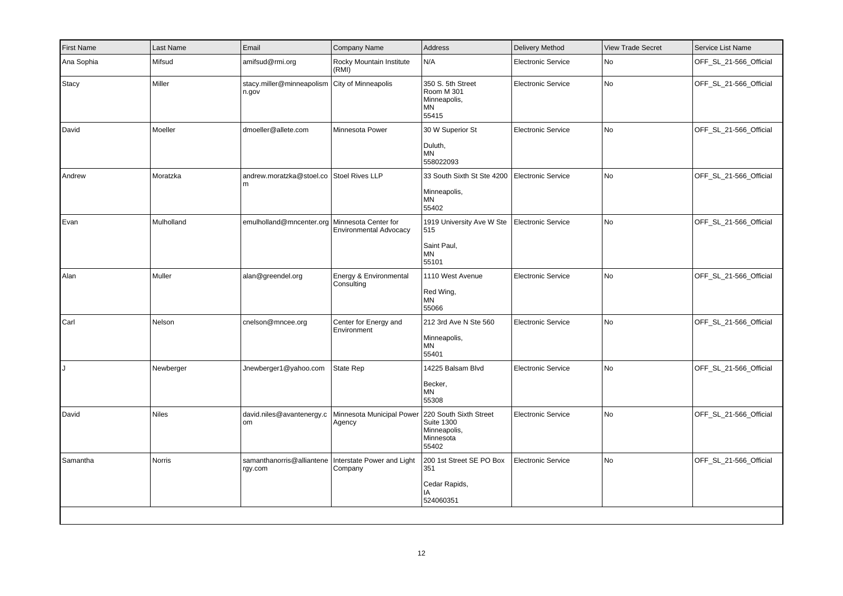| Company Name                                                                     | <b>View Trade Secret</b>        | <b>Address</b><br><b>Delivery Method</b>                                          | Service List Name         |
|----------------------------------------------------------------------------------|---------------------------------|-----------------------------------------------------------------------------------|---------------------------|
| Rocky Mountain Institute<br>(RMI)                                                | <b>Electronic Service</b><br>No | N/A                                                                               | OFF_SL_21-566_Official    |
| City of Minneapolis<br>stacy.miller@minneapolism                                 | No<br><b>Electronic Service</b> | 350 S. 5th Street<br>Room M 301<br>Minneapolis,<br>MN<br>55415                    | OFF_SL_21-566_Official    |
| dmoeller@allete.com<br>Minnesota Power                                           | No<br>Electronic Service        | 30 W Superior St<br>Duluth,<br><b>MN</b><br>558022093                             | OFF_SL_21-566_Official    |
| andrew.moratzka@stoel.co Stoel Rives LLP                                         | No<br>Electronic Service        | 33 South Sixth St Ste 4200<br>Minneapolis,<br>ΜN<br>55402                         | OFF_SL_21-566_Official    |
| emulholland@mncenter.org   Minnesota Center for<br><b>Environmental Advocacy</b> | No<br>Electronic Service        | 1919 University Ave W Ste<br>515<br>Saint Paul,<br><b>MN</b><br>55101             | OFF_SL_21-566_Official    |
| Energy & Environmental<br>alan@greendel.org<br>Consulting                        | <b>Electronic Service</b><br>No | 1110 West Avenue<br>Red Wing,<br>ΜN<br>55066                                      | OFF_SL_21-566_Official    |
| cnelson@mncee.org<br>Center for Energy and<br>Environment                        | <b>Electronic Service</b><br>No | 212 3rd Ave N Ste 560<br>Minneapolis,<br>ΜN<br>55401                              | OFF_SL_21-566_Official    |
| Jnewberger1@yahoo.com<br>State Rep                                               | <b>Electronic Service</b><br>No | 14225 Balsam Blvd<br>Becker,<br>MN<br>55308                                       | OFF_SL_21-566_Official    |
| david.niles@avantenergy.c<br>Minnesota Municipal Power<br>Agency                 | <b>Electronic Service</b><br>No | 220 South Sixth Street<br><b>Suite 1300</b><br>Minneapolis,<br>Minnesota<br>55402 | OFF_SL_21-566_Official    |
| samanthanorris@alliantene<br>Interstate Power and Light<br>Company               | No                              | 200 1st Street SE PO Box<br>351<br>Cedar Rapids,<br>IA<br>524060351               | OFF_SL_21-566_Official    |
|                                                                                  |                                 |                                                                                   | <b>Electronic Service</b> |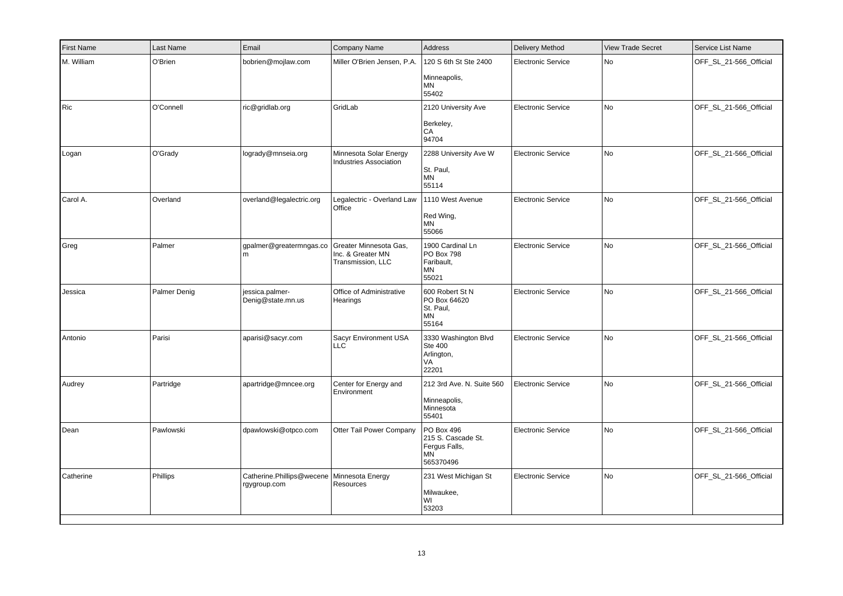| <b>First Name</b> | Last Name    | Email                                                        | <b>Company Name</b>                                              | Address                                                                     | <b>Delivery Method</b>    | <b>View Trade Secret</b> | Service List Name      |
|-------------------|--------------|--------------------------------------------------------------|------------------------------------------------------------------|-----------------------------------------------------------------------------|---------------------------|--------------------------|------------------------|
| M. William        | O'Brien      | bobrien@mojlaw.com                                           | Miller O'Brien Jensen, P.A.                                      | 120 S 6th St Ste 2400<br>Minneapolis,<br><b>MN</b><br>55402                 | <b>Electronic Service</b> | No                       | OFF_SL_21-566_Official |
| Ric               | O'Connell    | ric@gridlab.org                                              | GridLab                                                          | 2120 University Ave<br>Berkeley,<br>CA<br>94704                             | <b>Electronic Service</b> | No                       | OFF_SL_21-566_Official |
| Logan             | O'Grady      | logrady@mnseia.org                                           | Minnesota Solar Energy<br><b>Industries Association</b>          | 2288 University Ave W<br>St. Paul,<br><b>MN</b><br>55114                    | <b>Electronic Service</b> | No                       | OFF_SL_21-566_Official |
| Carol A.          | Overland     | overland@legalectric.org                                     | Legalectric - Overland Law<br>Office                             | 1110 West Avenue<br>Red Wing,<br>MN<br>55066                                | <b>Electronic Service</b> | No                       | OFF_SL_21-566_Official |
| Greg              | Palmer       | gpalmer@greatermngas.co<br>m                                 | Greater Minnesota Gas,<br>Inc. & Greater MN<br>Transmission, LLC | 1900 Cardinal Ln<br>PO Box 798<br>Faribault,<br>MN<br>55021                 | <b>Electronic Service</b> | No                       | OFF_SL_21-566_Official |
| Jessica           | Palmer Denig | jessica.palmer-<br>Denig@state.mn.us                         | Office of Administrative<br>Hearings                             | 600 Robert St N<br>PO Box 64620<br>St. Paul,<br>MN<br>55164                 | <b>Electronic Service</b> | No                       | OFF_SL_21-566_Official |
| Antonio           | Parisi       | aparisi@sacyr.com                                            | Sacyr Environment USA<br><b>LLC</b>                              | 3330 Washington Blvd<br>Ste 400<br>Arlington,<br>VA<br>22201                | <b>Electronic Service</b> | No                       | OFF_SL_21-566_Official |
| Audrey            | Partridge    | apartridge@mncee.org                                         | Center for Energy and<br>Environment                             | 212 3rd Ave. N. Suite 560<br>Minneapolis,<br>Minnesota<br>55401             | Electronic Service        | <b>No</b>                | OFF_SL_21-566_Official |
| Dean              | Pawlowski    | dpawlowski@otpco.com                                         | Otter Tail Power Company                                         | PO Box 496<br>215 S. Cascade St.<br>Fergus Falls,<br><b>MN</b><br>565370496 | <b>Electronic Service</b> | No                       | OFF_SL_21-566_Official |
| Catherine         | Phillips     | Catherine.Phillips@wecene   Minnesota Energy<br>rgygroup.com | Resources                                                        | 231 West Michigan St<br>Milwaukee,<br>WI<br>53203                           | <b>Electronic Service</b> | No                       | OFF_SL_21-566_Official |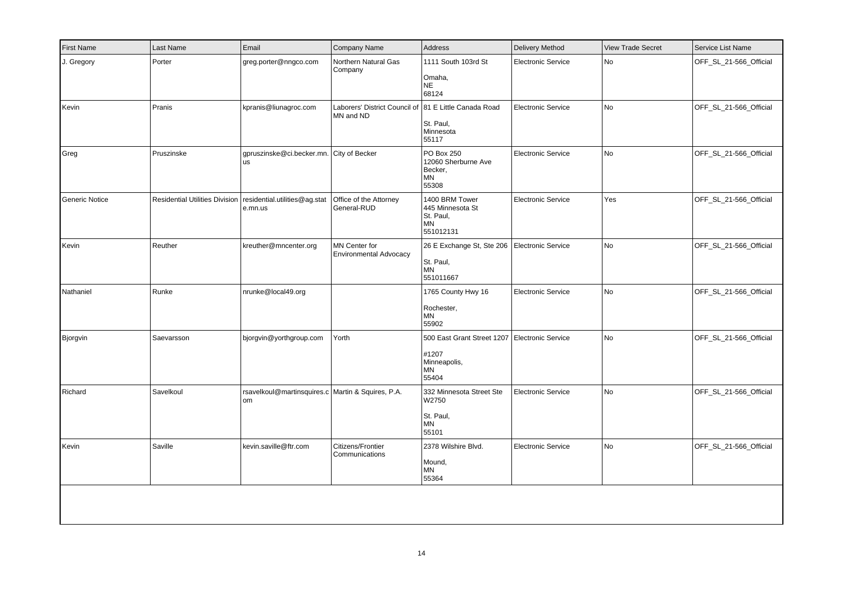| <b>First Name</b> | Last Name  | Email                                                                     | Company Name                                                       | Address                                                              | <b>Delivery Method</b>    | <b>View Trade Secret</b> | Service List Name      |
|-------------------|------------|---------------------------------------------------------------------------|--------------------------------------------------------------------|----------------------------------------------------------------------|---------------------------|--------------------------|------------------------|
| J. Gregory        | Porter     | greg.porter@nngco.com                                                     | Northern Natural Gas<br>Company                                    | 1111 South 103rd St<br>Omaha,<br><b>NE</b><br>68124                  | <b>Electronic Service</b> | No                       | OFF SL 21-566 Official |
| Kevin             | Pranis     | kpranis@liunagroc.com                                                     | Laborers' District Council of 81 E Little Canada Road<br>MN and ND | St. Paul,<br>Minnesota<br>55117                                      | <b>Electronic Service</b> | No                       | OFF_SL_21-566_Official |
| Greg              | Pruszinske | gpruszinske@ci.becker.mn. City of Becker<br>lus                           |                                                                    | PO Box 250<br>12060 Sherburne Ave<br>Becker,<br>MN<br>55308          | <b>Electronic Service</b> | No                       | OFF_SL_21-566_Official |
| Generic Notice    |            | Residential Utilities Division   residential.utilities@ag.stat<br>e.mn.us | Office of the Attorney<br>General-RUD                              | 1400 BRM Tower<br>445 Minnesota St<br>St. Paul,<br>MN<br>551012131   | <b>Electronic Service</b> | Yes                      | OFF_SL_21-566_Official |
| Kevin             | Reuther    | kreuther@mncenter.org                                                     | MN Center for<br><b>Environmental Advocacy</b>                     | 26 E Exchange St, Ste 206<br>St. Paul,<br><b>MN</b><br>551011667     | Electronic Service        | No                       | OFF_SL_21-566_Official |
| Nathaniel         | Runke      | nrunke@local49.org                                                        |                                                                    | 1765 County Hwy 16<br>Rochester,<br>MN<br>55902                      | <b>Electronic Service</b> | No                       | OFF_SL_21-566_Official |
| Bjorgvin          | Saevarsson | bjorgvin@yorthgroup.com                                                   | Yorth                                                              | 500 East Grant Street 1207<br>#1207<br>Minneapolis,<br>ΜN<br>55404   | Electronic Service        | No                       | OFF_SL_21-566_Official |
| Richard           | Savelkoul  | rsavelkoul@martinsquires.c Martin & Squires, P.A.<br> om                  |                                                                    | 332 Minnesota Street Ste<br>W2750<br>St. Paul,<br><b>MN</b><br>55101 | <b>Electronic Service</b> | No                       | OFF_SL_21-566_Official |
| Kevin             | Saville    | kevin.saville@ftr.com                                                     | Citizens/Frontier<br>Communications                                | 2378 Wilshire Blvd.<br>Mound,<br>ΜN<br>55364                         | <b>Electronic Service</b> | No                       | OFF_SL_21-566_Official |
|                   |            |                                                                           |                                                                    |                                                                      |                           |                          |                        |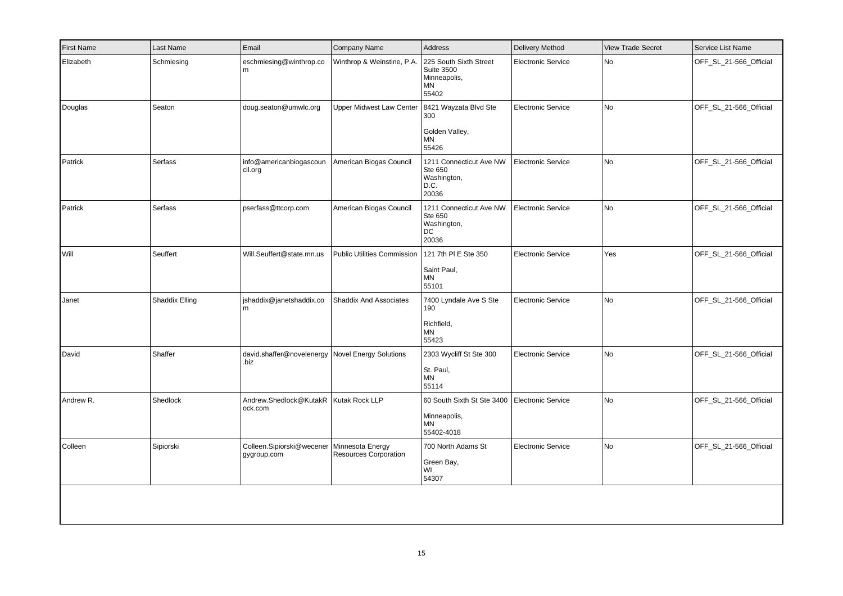| <b>First Name</b> | Last Name      | Email                                              | Company Name                                     | Address                                                                    | <b>Delivery Method</b>    | <b>View Trade Secret</b> | Service List Name      |
|-------------------|----------------|----------------------------------------------------|--------------------------------------------------|----------------------------------------------------------------------------|---------------------------|--------------------------|------------------------|
| Elizabeth         | Schmiesing     | eschmiesing@winthrop.co<br>l m                     | Winthrop & Weinstine, P.A.                       | 225 South Sixth Street<br><b>Suite 3500</b><br>Minneapolis,<br>ΜN<br>55402 | <b>Electronic Service</b> | No                       | OFF_SL_21-566_Official |
| Douglas           | Seaton         | doug.seaton@umwlc.org                              | <b>Upper Midwest Law Center</b>                  | 8421 Wayzata Blvd Ste<br>300<br>Golden Valley,<br>ΜN<br>55426              | <b>Electronic Service</b> | No                       | OFF_SL_21-566_Official |
| Patrick           | Serfass        | info@americanbiogascoun<br>cil.org                 | American Biogas Council                          | 1211 Connecticut Ave NW<br>Ste 650<br>Washington,<br>D.C.<br>20036         | Electronic Service        | No                       | OFF_SL_21-566_Official |
| Patrick           | Serfass        | pserfass@ttcorp.com                                | American Biogas Council                          | 1211 Connecticut Ave NW<br>Ste 650<br>Washington,<br>DC<br>20036           | <b>Electronic Service</b> | No                       | OFF_SL_21-566_Official |
| Will              | Seuffert       | Will.Seuffert@state.mn.us                          | Public Utilities Commission                      | 121 7th PI E Ste 350<br>Saint Paul,<br>MN<br>55101                         | <b>Electronic Service</b> | Yes                      | OFF_SL_21-566_Official |
| Janet             | Shaddix Elling | shaddix@janetshaddix.co<br>l m                     | Shaddix And Associates                           | 7400 Lyndale Ave S Ste<br>190<br>Richfield,<br>ΜN<br>55423                 | <b>Electronic Service</b> | No                       | OFF SL 21-566 Official |
| David             | Shaffer        | david.shaffer@novelenergy<br>.biz                  | <b>Novel Energy Solutions</b>                    | 2303 Wycliff St Ste 300<br>St. Paul,<br>MN<br>55114                        | <b>Electronic Service</b> | No                       | OFF_SL_21-566_Official |
| Andrew R.         | Shedlock       | Andrew.Shedlock@KutakR   Kutak Rock LLP<br>ock.com |                                                  | 60 South Sixth St Ste 3400<br>Minneapolis,<br><b>MN</b><br>55402-4018      | <b>Electronic Service</b> | No                       | OFF_SL_21-566_Official |
| Colleen           | Sipiorski      | Colleen.Sipiorski@wecener<br>gygroup.com           | Minnesota Energy<br><b>Resources Corporation</b> | 700 North Adams St<br>Green Bay,<br>WI<br>54307                            | <b>Electronic Service</b> | No                       | OFF_SL_21-566_Official |
|                   |                |                                                    |                                                  |                                                                            |                           |                          |                        |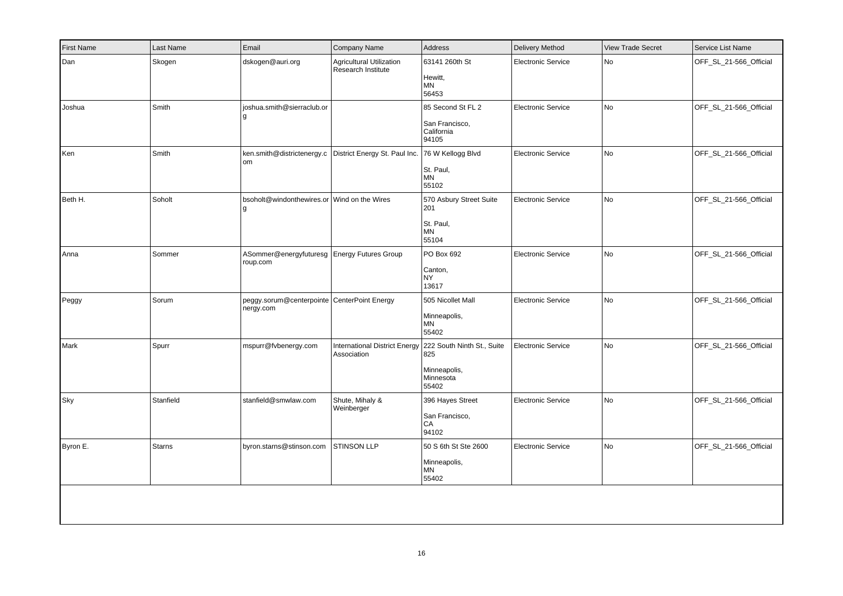| <b>First Name</b> | Last Name     | Email                                                                             | Company Name                                          | Address                                                                 | <b>Delivery Method</b>    | <b>View Trade Secret</b> | Service List Name      |
|-------------------|---------------|-----------------------------------------------------------------------------------|-------------------------------------------------------|-------------------------------------------------------------------------|---------------------------|--------------------------|------------------------|
| Dan               | Skogen        | dskogen@auri.org                                                                  | <b>Agricultural Utilization</b><br>Research Institute | 63141 260th St<br>Hewitt,<br>ΜN<br>56453                                | <b>Electronic Service</b> | No                       | OFF_SL_21-566_Official |
| Joshua            | Smith         | joshua.smith@sierraclub.or<br>l g                                                 |                                                       | 85 Second St FL 2<br>San Francisco,<br>California<br>94105              | <b>Electronic Service</b> | No                       | OFF_SL_21-566_Official |
| Ken               | Smith         | ken.smith@districtenergy.c District Energy St. Paul Inc. 76 W Kellogg Blvd<br> om |                                                       | St. Paul,<br><b>MN</b><br>55102                                         | <b>Electronic Service</b> | No                       | OFF_SL_21-566_Official |
| Beth H.           | Soholt        | bsoholt@windonthewires.or Wind on the Wires<br>l g                                |                                                       | 570 Asbury Street Suite<br>201<br>St. Paul,<br>MN<br>55104              | <b>Electronic Service</b> | No                       | OFF_SL_21-566_Official |
| Anna              | Sommer        | ASommer@energyfuturesg Energy Futures Group<br>roup.com                           |                                                       | PO Box 692<br>Canton,<br>NY<br>13617                                    | <b>Electronic Service</b> | No                       | OFF_SL_21-566_Official |
| Peggy             | Sorum         | peggy.sorum@centerpointe CenterPoint Energy<br>nergy.com                          |                                                       | 505 Nicollet Mall<br>Minneapolis,<br>ΜN<br>55402                        | <b>Electronic Service</b> | No                       | OFF_SL_21-566_Official |
| Mark              | Spurr         | mspurr@fvbenergy.com                                                              | <b>International District Energy</b><br>Association   | 222 South Ninth St., Suite<br>825<br>Minneapolis,<br>Minnesota<br>55402 | <b>Electronic Service</b> | No.                      | OFF_SL_21-566_Official |
| Sky               | Stanfield     | stanfield@smwlaw.com                                                              | Shute, Mihaly &<br>Weinberger                         | 396 Hayes Street<br>San Francisco,<br>CA<br>94102                       | <b>Electronic Service</b> | No                       | OFF_SL_21-566_Official |
| Byron E.          | <b>Starns</b> | byron.starns@stinson.com                                                          | STINSON LLP                                           | 50 S 6th St Ste 2600<br>Minneapolis,<br>ΜN<br>55402                     | <b>Electronic Service</b> | No                       | OFF_SL_21-566_Official |
|                   |               |                                                                                   |                                                       |                                                                         |                           |                          |                        |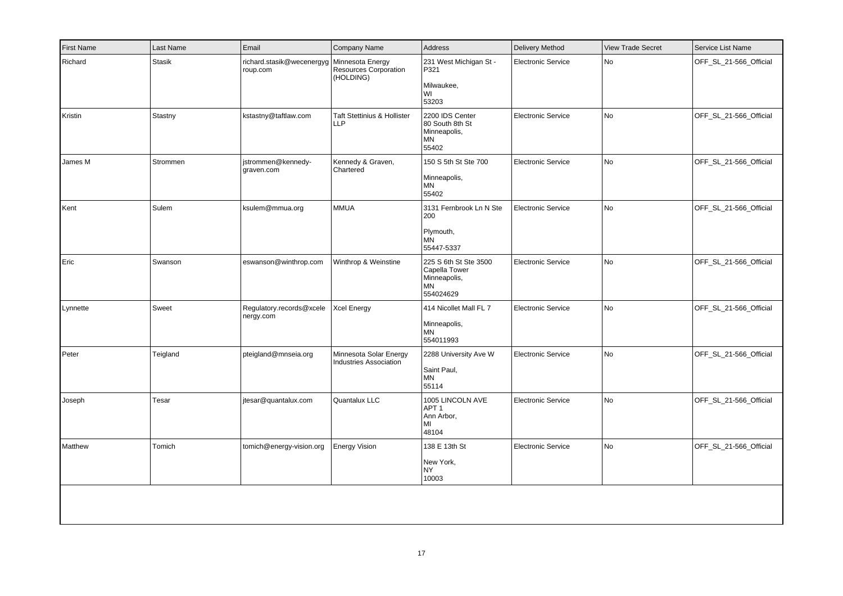| <b>First Name</b> | Last Name     | Email                                 | Company Name                                                  | Address                                                                   | <b>Delivery Method</b>    | <b>View Trade Secret</b> | Service List Name      |
|-------------------|---------------|---------------------------------------|---------------------------------------------------------------|---------------------------------------------------------------------------|---------------------------|--------------------------|------------------------|
| Richard           | <b>Stasik</b> | richard.stasik@wecenergyg<br>roup.com | Minnesota Energy<br><b>Resources Corporation</b><br>(HOLDING) | 231 West Michigan St -<br>P321<br>Milwaukee,<br>WI<br>53203               | <b>Electronic Service</b> | No                       | OFF SL 21-566 Official |
| Kristin           | Stastny       | kstastny@taftlaw.com                  | <b>Taft Stettinius &amp; Hollister</b><br><b>LLP</b>          | 2200 IDS Center<br>80 South 8th St<br>Minneapolis,<br>MN<br>55402         | <b>Electronic Service</b> | No                       | OFF_SL_21-566_Official |
| James M           | Strommen      | istrommen@kennedy-<br>graven.com      | Kennedy & Graven,<br>Chartered                                | 150 S 5th St Ste 700<br>Minneapolis,<br>MN<br>55402                       | Electronic Service        | No                       | OFF_SL_21-566_Official |
| Kent              | Sulem         | ksulem@mmua.org                       | <b>MMUA</b>                                                   | 3131 Fernbrook Ln N Ste<br>200<br>Plymouth,<br>ΜN<br>55447-5337           | <b>Electronic Service</b> | No                       | OFF_SL_21-566_Official |
| Eric              | Swanson       | eswanson@winthrop.com                 | Winthrop & Weinstine                                          | 225 S 6th St Ste 3500<br>Capella Tower<br>Minneapolis,<br>ΜN<br>554024629 | <b>Electronic Service</b> | No                       | OFF_SL_21-566_Official |
| Lynnette          | Sweet         | Regulatory.records@xcele<br>nergy.com | <b>Xcel Energy</b>                                            | 414 Nicollet Mall FL 7<br>Minneapolis,<br>ΜN<br>554011993                 | <b>Electronic Service</b> | No                       | OFF_SL_21-566_Official |
| Peter             | Teigland      | pteigland@mnseia.org                  | Minnesota Solar Energy<br>Industries Association              | 2288 University Ave W<br>Saint Paul,<br>ΜN<br>55114                       | <b>Electronic Service</b> | No                       | OFF_SL_21-566_Official |
| Joseph            | Tesar         | jtesar@quantalux.com                  | Quantalux LLC                                                 | 1005 LINCOLN AVE<br>APT <sub>1</sub><br>Ann Arbor,<br>MI<br>48104         | <b>Electronic Service</b> | No                       | OFF_SL_21-566_Official |
| Matthew           | Tomich        | tomich@energy-vision.org              | <b>Energy Vision</b>                                          | 138 E 13th St<br>New York,<br>NY.<br>10003                                | <b>Electronic Service</b> | No                       | OFF_SL_21-566_Official |
|                   |               |                                       |                                                               |                                                                           |                           |                          |                        |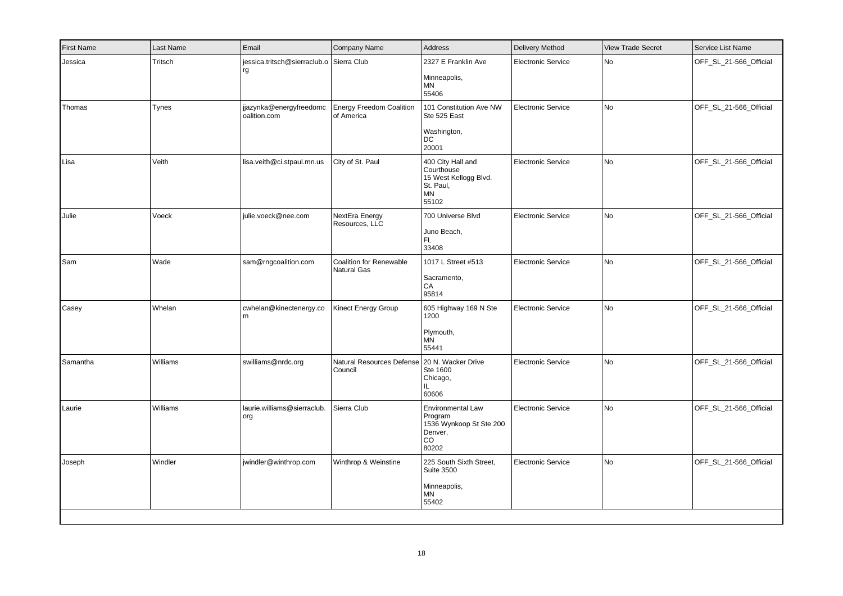| Tritsch<br>Tynes | jessica.tritsch@sierraclub.o Sierra Club<br>rg<br>jjazynka@energyfreedomc |                                               | 2327 E Franklin Ave<br>Minneapolis,<br>ΜN                                    | <b>Electronic Service</b>                      | No                                               | OFF_SL_21-566_Official |
|------------------|---------------------------------------------------------------------------|-----------------------------------------------|------------------------------------------------------------------------------|------------------------------------------------|--------------------------------------------------|------------------------|
|                  |                                                                           |                                               | 55406                                                                        |                                                |                                                  |                        |
|                  | oalition.com                                                              | <b>Energy Freedom Coalition</b><br>of America | 101 Constitution Ave NW<br>Ste 525 East<br>Washington,<br><b>DC</b><br>20001 | Electronic Service                             | No                                               | OFF_SL_21-566_Official |
| Veith            | lisa.veith@ci.stpaul.mn.us                                                | City of St. Paul                              | 400 City Hall and<br>Courthouse<br>St. Paul,<br>MN<br>55102                  | Electronic Service                             | No                                               | OFF_SL_21-566_Official |
| Voeck            | julie.voeck@nee.com                                                       | NextEra Energy<br>Resources, LLC              | 700 Universe Blvd<br>Juno Beach,<br>FL.<br>33408                             | <b>Electronic Service</b>                      | <b>No</b>                                        | OFF_SL_21-566_Official |
| Wade             | sam@rngcoalition.com                                                      | <b>Coalition for Renewable</b><br>Natural Gas | 1017 L Street #513<br>Sacramento,<br>CA<br>95814                             | <b>Electronic Service</b>                      | No                                               | OFF_SL_21-566_Official |
| Whelan           | cwhelan@kinectenergy.co                                                   | Kinect Energy Group                           | 605 Highway 169 N Ste<br>1200<br>Plymouth,<br>MN<br>55441                    | <b>Electronic Service</b>                      | <b>No</b>                                        | OFF_SL_21-566_Official |
| Williams         | swilliams@nrdc.org                                                        | Council                                       | Ste 1600<br>Chicago,<br>IL.<br>60606                                         | <b>Electronic Service</b>                      | <b>No</b>                                        | OFF_SL_21-566_Official |
| Williams         | Iaurie.williams@sierraclub.<br> org                                       | Sierra Club                                   | Environmental Law<br>Program<br>Denver,<br>CO<br>80202                       | <b>Electronic Service</b>                      | No                                               | OFF_SL_21-566_Official |
| Windler          | jwindler@winthrop.com                                                     | Winthrop & Weinstine                          | 225 South Sixth Street,<br><b>Suite 3500</b><br>Minneapolis,<br>ΜN<br>55402  | <b>Electronic Service</b>                      | <b>No</b>                                        | OFF_SL_21-566_Official |
|                  |                                                                           |                                               |                                                                              | Natural Resources Defense   20 N. Wacker Drive | 15 West Kellogg Blvd.<br>1536 Wynkoop St Ste 200 |                        |